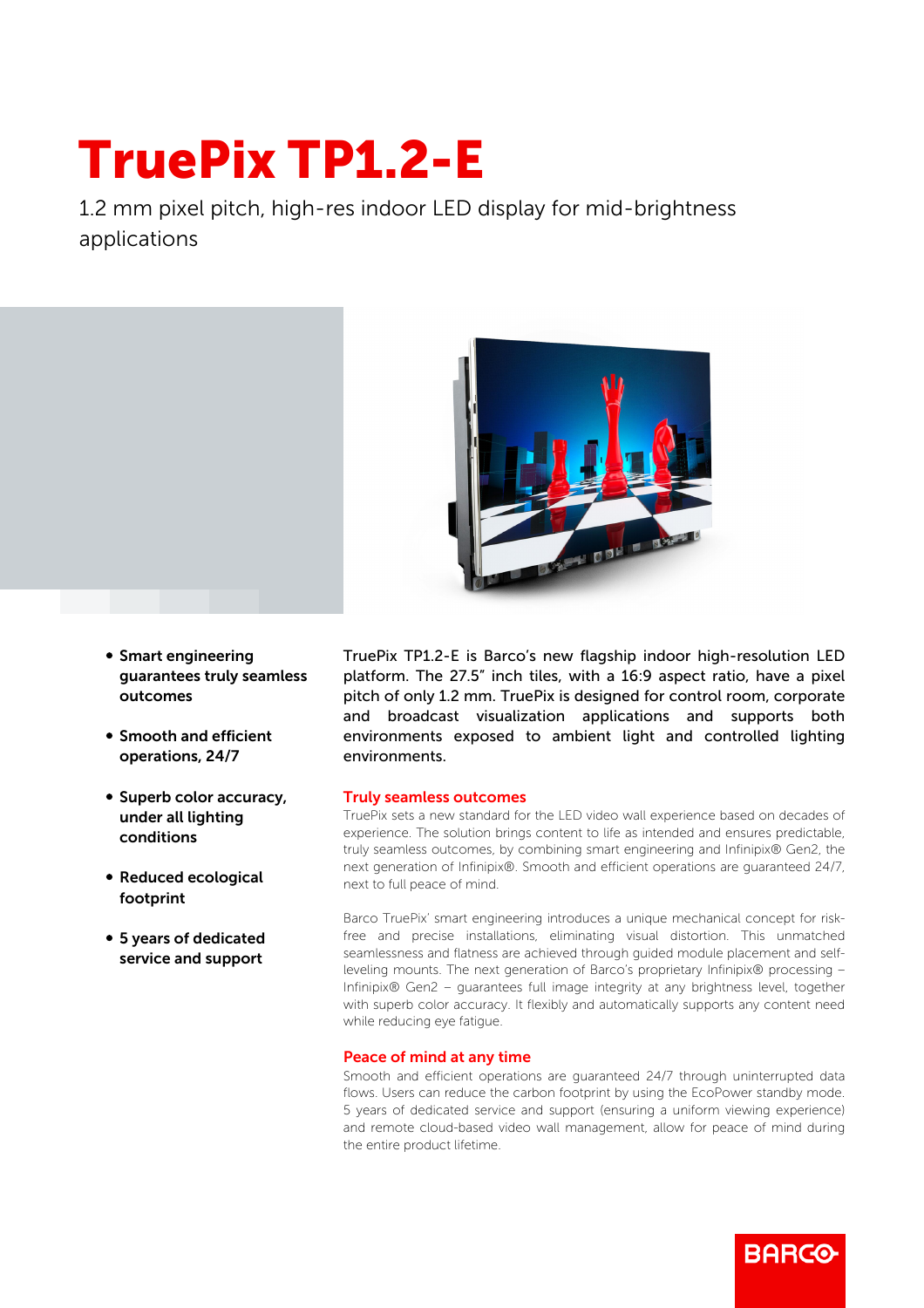## TruePix TP1.2-E

1.2 mm pixel pitch, high-res indoor LED display for mid-brightness applications



- **Smart engineering** guarantees truly seamless outcomes
- **Smooth and efficient** operations, 24/7
- Superb color accuracy, under all lighting conditions
- Reduced ecological footprint
- 5 years of dedicated service and support

TruePix TP1.2-E is Barco's new flagship indoor high-resolution LED platform. The 27.5" inch tiles, with a 16:9 aspect ratio, have a pixel pitch of only 1.2 mm. TruePix is designed for control room, corporate and broadcast visualization applications and supports both environments exposed to ambient light and controlled lighting environments.

## Truly seamless outcomes

TruePix sets a new standard for the LED video wall experience based on decades of experience. The solution brings content to life as intended and ensures predictable, truly seamless outcomes, by combining smart engineering and Infinipix® Gen2, the next generation of Infinipix®. Smooth and efficient operations are guaranteed 24/7, next to full peace of mind.

Barco TruePix' smart engineering introduces a unique mechanical concept for riskfree and precise installations, eliminating visual distortion. This unmatched seamlessness and flatness are achieved through guided module placement and selfleveling mounts. The next generation of Barco's proprietary Infinipix® processing – Infinipix® Gen2 – guarantees full image integrity at any brightness level, together with superb color accuracy. It flexibly and automatically supports any content need while reducing eye fatigue.

## Peace of mind at any time

Smooth and efficient operations are guaranteed 24/7 through uninterrupted data flows. Users can reduce the carbon footprint by using the EcoPower standby mode. 5 years of dedicated service and support (ensuring a uniform viewing experience) and remote cloud-based video wall management, allow for peace of mind during the entire product lifetime.

**BARCO**